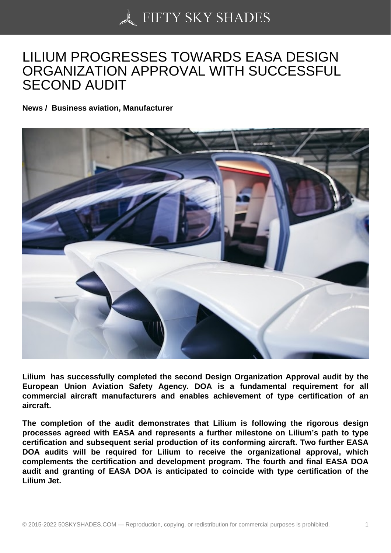## [LILIUM PROGRESSES](https://50skyshades.com) TOWARDS EASA DESIGN ORGANIZATION APPROVAL WITH SUCCESSFUL SECOND AUDIT

News / Business aviation, Manufacturer

Lilium has successfully completed the second Design Organization Approval audit by the European Union Aviation Safety Agency. DOA is a fundamental requirement for all commercial aircraft manufacturers and enables achievement of type certification of an aircraft.

The completion of the audit demonstrates that Lilium is following the rigorous design processes agreed with EASA and represents a further milestone on Lilium's path to type certification and subsequent serial production of its conforming aircraft. Two further EASA DOA audits will be required for Lilium to receive the organizational approval, which complements the certification and development program. The fourth and final EASA DOA audit and granting of EASA DOA is anticipated to coincide with type certification of the Lilium Jet.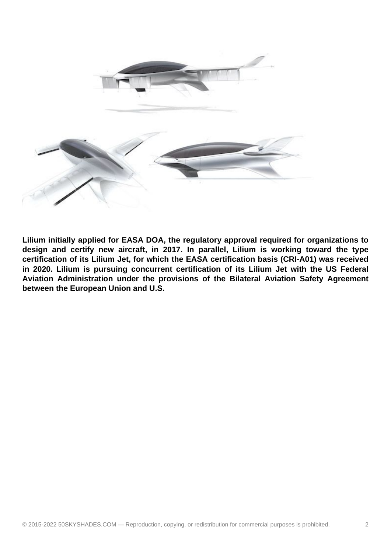

**Lilium initially applied for EASA DOA, the regulatory approval required for organizations to design and certify new aircraft, in 2017. In parallel, Lilium is working toward the type certification of its Lilium Jet, for which the EASA certification basis (CRI-A01) was received in 2020. Lilium is pursuing concurrent certification of its Lilium Jet with the US Federal Aviation Administration under the provisions of the Bilateral Aviation Safety Agreement between the European Union and U.S.**